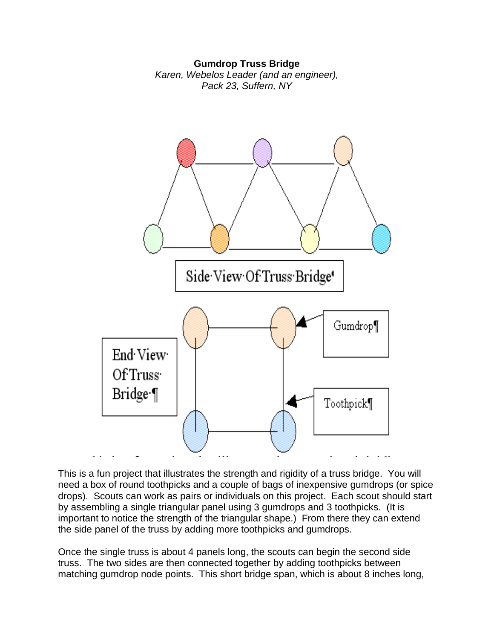## **Gumdrop Truss Bridge**

*Karen, Webelos Leader (and an engineer), Pack 23, Suffern, NY*



This is a fun project that illustrates the strength and rigidity of a truss bridge. You will need a box of round toothpicks and a couple of bags of inexpensive gumdrops (or spice drops). Scouts can work as pairs or individuals on this project. Each scout should start by assembling a single triangular panel using 3 gumdrops and 3 toothpicks. (It is important to notice the strength of the triangular shape.) From there they can extend the side panel of the truss by adding more toothpicks and gumdrops.

Once the single truss is about 4 panels long, the scouts can begin the second side truss. The two sides are then connected together by adding toothpicks between matching gumdrop node points. This short bridge span, which is about 8 inches long,